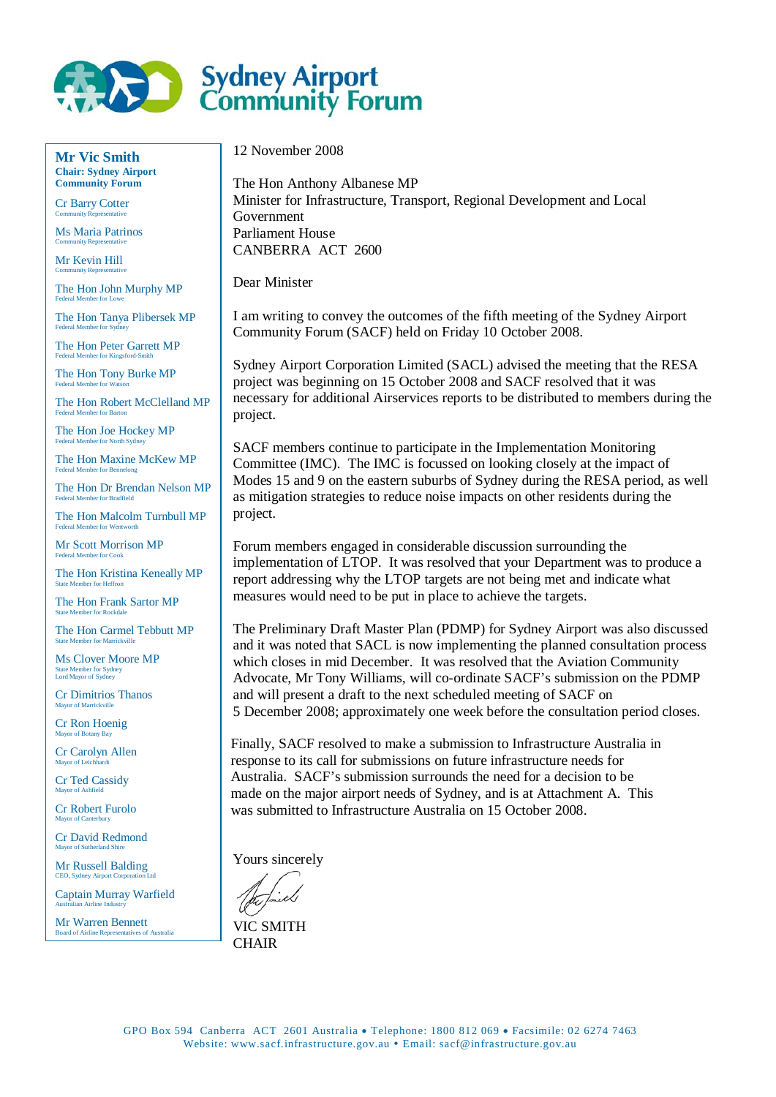

**Mr Vic Smith Chair: Sydney Airport Community Forum**

Cr Barry Cotter Community Representative

Ms Maria Patrinos Community Representative

Mr Kevin Hill Community Representative

The Hon John Murphy MP Federal Member for Lowe

The Hon Tanya Plibersek MP Federal Member for Sydney

The Hon Peter Garrett MP Federal Member for Kingsford-Smith

The Hon Tony Burke MP Federal Member for Watson

The Hon Robert McClelland MP Federal Member for Barton

The Hon Joe Hockey MP Federal Member for North Sydney

The Hon Maxine McKew MP Federal Member for Bennelong

The Hon Dr Brendan Nelson MP Federal Member for Bradfield

er: The Hon Malcolm Turnbull MP Federal Member for Wentworth

Mr Scott Morrison MP Federal Member for Cook

The Hon Kristina Keneally MP State Member for Heffron

The Hon Frank Sartor MP State Member for Rockdale

The Hon Carmel Tebbutt MP State Member for Marrickville

Ms Clover Moore MP State Member for Sydney Lord Mayor of Sydney

Cr Dimitrios Thanos Mayor of Marrickville

Cr Ron Hoenig Mayor of Botany Bay

Cr Carolyn Allen Mayor of Leichhardt

Cr Ted Cassidy Mayor of Ashfield

Cr Robert Furolo Mayor of Canterbury

Cr David Redmond Mayor of Sutherland Shire

Mr Russell Balding CEO, Sydney Airport Corpora

Captain Murray Warfield Australian Airline Industry

Mr Warren Bennett Board of Airline Representatives of Australia 12 November 2008

The Hon Anthony Albanese MP Minister for Infrastructure, Transport, Regional Development and Local Government Parliament House CANBERRA ACT 2600

Dear Minister

I am writing to convey the outcomes of the fifth meeting of the Sydney Airport Community Forum (SACF) held on Friday 10 October 2008.

Sydney Airport Corporation Limited (SACL) advised the meeting that the RESA project was beginning on 15 October 2008 and SACF resolved that it was necessary for additional Airservices reports to be distributed to members during the project.

SACF members continue to participate in the Implementation Monitoring Committee (IMC). The IMC is focussed on looking closely at the impact of Modes 15 and 9 on the eastern suburbs of Sydney during the RESA period, as well as mitigation strategies to reduce noise impacts on other residents during the project.

Forum members engaged in considerable discussion surrounding the implementation of LTOP. It was resolved that your Department was to produce a report addressing why the LTOP targets are not being met and indicate what measures would need to be put in place to achieve the targets.

The Preliminary Draft Master Plan (PDMP) for Sydney Airport was also discussed and it was noted that SACL is now implementing the planned consultation process which closes in mid December. It was resolved that the Aviation Community Advocate, Mr Tony Williams, will co-ordinate SACF's submission on the PDMP and will present a draft to the next scheduled meeting of SACF on 5 December 2008; approximately one week before the consultation period closes.

Finally, SACF resolved to make a submission to Infrastructure Australia in response to its call for submissions on future infrastructure needs for Australia. SACF's submission surrounds the need for a decision to be made on the major airport needs of Sydney, and is at Attachment A. This was submitted to Infrastructure Australia on 15 October 2008.

Yours sincerely

VIC SMITH **CHAIR**